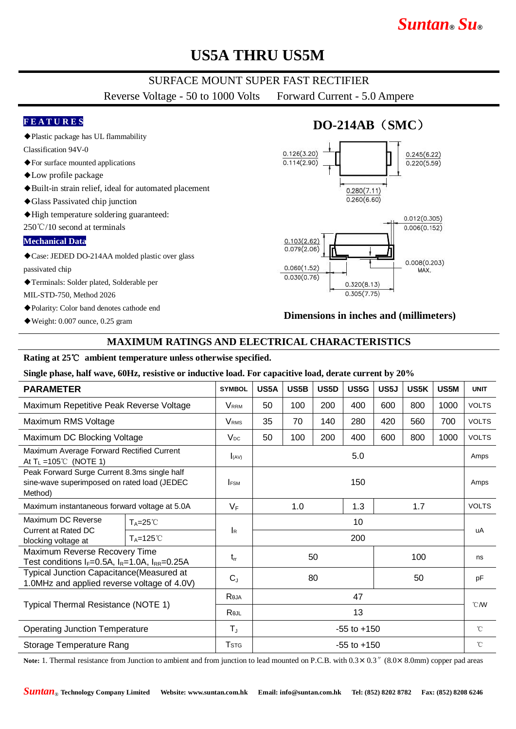# *Suntan***®** *Su***®**

# **US5A THRU US5M**

## SURFACE MOUNT SUPER FAST RECTIFIER

Reverse Voltage - 50 to 1000 Volts Forward Current - 5.0 Ampere

#### **F E A T U R E S**

◆Plastic package has UL flammability

Classification 94V-0

- ◆For surface mounted applications
- ◆Low profile package
- ◆Built-in strain relief, ideal for automated placement
- ◆Glass Passivated chip junction
- ◆High temperature soldering guaranteed:

250℃/10 second at terminals

### **Mechanical Data**

◆Case: JEDED DO-214AA molded plastic over glass passivated chip

◆Terminals: Solder plated, Solderable per

MIL-STD-750, Method 2026

◆Polarity: Color band denotes cathode end

 $\blacklozenge$  Weight: 0.007 ounce, 0.25 gram

## **DO-214AB**(**SMC**)  $0.126(3.20)$  $0.245(6.22)$  $0.114(2.90)$  $0.220(5.59)$  $0.280(7.11)$  $0.260(6.60)$  $0.012(0.305)$



#### **Dimensions in inches and (millimeters)**

## **MAXIMUM RATINGS AND ELECTRICAL CHARACTERISTICS**

#### **Rating at 25**℃ **ambient temperature unless otherwise specified.**

**Single phase, half wave, 60Hz, resistive or inductive load. For capacitive load, derate current by 20%**

| <b>PARAMETER</b>                                                                                       |                     | <b>SYMBOL</b>           | US5A              | US5B | US5D | US5G | US5J | US5K         | US5M         | <b>UNIT</b>  |
|--------------------------------------------------------------------------------------------------------|---------------------|-------------------------|-------------------|------|------|------|------|--------------|--------------|--------------|
| Maximum Repetitive Peak Reverse Voltage                                                                |                     | <b>VRRM</b>             | 50                | 100  | 200  | 400  | 600  | 800          | 1000         | <b>VOLTS</b> |
| Maximum RMS Voltage                                                                                    |                     | <b>V</b> <sub>RMS</sub> | 35                | 70   | 140  | 280  | 420  | 560          | 700          | <b>VOLTS</b> |
| Maximum DC Blocking Voltage                                                                            |                     | $V_{DC}$                | 50                | 100  | 200  | 400  | 600  | 800          | 1000         | <b>VOLTS</b> |
| Maximum Average Forward Rectified Current<br>At $T_L = 105^{\circ}$ (NOTE 1)                           |                     | I(AV)                   | 5.0               |      |      |      |      |              |              | Amps         |
| Peak Forward Surge Current 8.3ms single half<br>sine-wave superimposed on rated load (JEDEC<br>Method) |                     | <b>FSM</b>              | 150               |      |      |      |      |              | Amps         |              |
| Maximum instantaneous forward voltage at 5.0A                                                          |                     | $V_F$                   | 1.0<br>1.3<br>1.7 |      |      |      |      | <b>VOLTS</b> |              |              |
| Maximum DC Reverse<br>Current at Rated DC<br>blocking voltage at                                       | $T_A = 25^{\circ}$  | <b>I</b> R              | 10                |      |      |      |      |              |              | uA           |
|                                                                                                        | $T_A = 125^{\circ}$ |                         | 200               |      |      |      |      |              |              |              |
| Maximum Reverse Recovery Time<br>Test conditions $I_F=0.5A$ , $I_R=1.0A$ , $I_{RR}=0.25A$              |                     | $t_{rr}$                | 50                |      |      | 100  |      |              | ns           |              |
| <b>Typical Junction Capacitance (Measured at</b><br>1.0MHz and applied reverse voltage of 4.0V)        |                     | $C_{J}$                 | 80                |      |      | 50   |      |              | pF           |              |
| Typical Thermal Resistance (NOTE 1)                                                                    |                     | Reja                    | 47                |      |      |      |      |              |              | $°C$ M       |
|                                                                                                        |                     | Rejl                    | 13                |      |      |      |      |              |              |              |
| <b>Operating Junction Temperature</b>                                                                  |                     | $T_{\rm J}$             | $-55$ to $+150$   |      |      |      |      |              | $^{\circ}$ C |              |
| Storage Temperature Rang                                                                               |                     | <b>T</b> <sub>STG</sub> | $-55$ to $+150$   |      |      |      |      |              | $^{\circ}$ C |              |

Note: 1. Thermal resistance from Junction to ambient and from junction to lead mounted on P.C.B. with  $0.3 \times 0.3$  " $(8.0 \times 8.0$ mm) copper pad areas